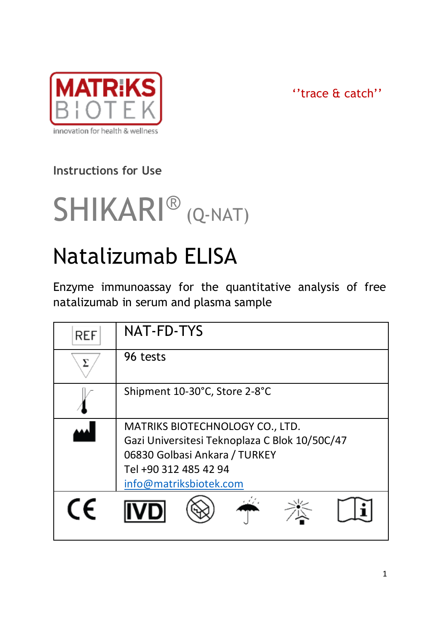

''trace & catch''

# **Instructions for Use**



# Natalizumab ELISA

Enzyme immunoassay for the quantitative analysis of free natalizumab in serum and plasma sample

| <b>REF</b> | NAT-FD-TYS                                                                                                                                                           |
|------------|----------------------------------------------------------------------------------------------------------------------------------------------------------------------|
|            | 96 tests                                                                                                                                                             |
|            | Shipment 10-30°C, Store 2-8°C                                                                                                                                        |
|            | MATRIKS BIOTECHNOLOGY CO., LTD.<br>Gazi Universitesi Teknoplaza C Blok 10/50C/47<br>06830 Golbasi Ankara / TURKEY<br>Tel +90 312 485 42 94<br>info@matriksbiotek.com |
| (F         |                                                                                                                                                                      |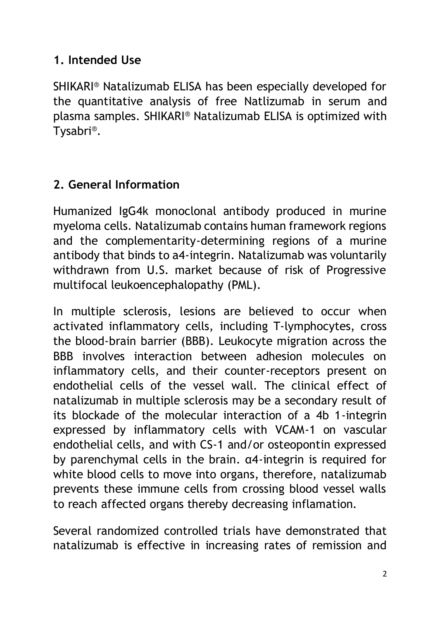#### **1. Intended Use**

SHIKARI® Natalizumab ELISA has been especially developed for the quantitative analysis of free Natlizumab in serum and plasma samples. SHIKARI® Natalizumab ELISA is optimized with Tysabri®.

# **2. General Information**

Humanized IgG4k monoclonal antibody produced in murine myeloma cells. Natalizumab contains human framework regions and the complementarity-determining regions of a murine antibody that binds to a4-integrin. Natalizumab was voluntarily withdrawn from U.S. market because of risk of Progressive multifocal leukoencephalopathy (PML).

In multiple sclerosis, lesions are believed to occur when activated inflammatory cells, including T-lymphocytes, cross the blood-brain barrier (BBB). Leukocyte migration across the BBB involves interaction between adhesion molecules on inflammatory cells, and their counter-receptors present on endothelial cells of the vessel wall. The clinical effect of natalizumab in multiple sclerosis may be a secondary result of its blockade of the molecular interaction of a 4b 1-integrin expressed by inflammatory cells with VCAM-1 on vascular endothelial cells, and with CS-1 and/or osteopontin expressed by parenchymal cells in the brain. α4-integrin is required for white blood cells to move into organs, therefore, natalizumab prevents these immune cells from crossing blood vessel walls to reach affected organs thereby decreasing inflamation.

Several randomized controlled trials have demonstrated that natalizumab is effective in increasing rates of remission and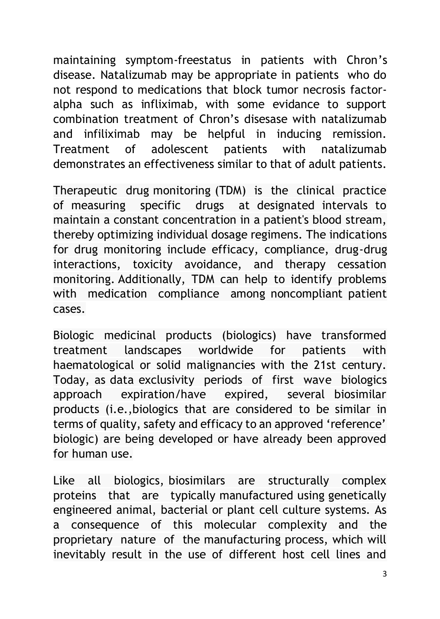maintaining symptom-freestatus in patients with Chron's disease. Natalizumab may be appropriate in patients who do not respond to medications that block tumor necrosis factoralpha such as infliximab, with some evidance to support combination treatment of Chron's disesase with natalizumab and infiliximab may be helpful in inducing remission. Treatment of adolescent patients with natalizumab demonstrates an effectiveness similar to that of adult patients.

Therapeutic drug monitoring (TDM) is the clinical practice of measuring specific drugs at designated intervals to maintain a constant concentration in a patient's blood stream, thereby optimizing individual dosage regimens. The indications for drug monitoring include efficacy, compliance, drug-drug interactions, toxicity avoidance, and therapy cessation monitoring. Additionally, TDM can help to identify problems with medication compliance among noncompliant patient cases.

Biologic medicinal products (biologics) have transformed treatment landscapes worldwide for patients with haematological or solid malignancies with the 21st century. Today, as data exclusivity periods of first wave biologics approach expiration/have expired, several biosimilar products (i.e.,biologics that are considered to be similar in terms of quality, safety and efficacy to an approved 'reference' biologic) are being developed or have already been approved for human use.

Like all biologics, biosimilars are structurally complex proteins that are typically manufactured using genetically engineered animal, bacterial or plant cell culture systems. As a consequence of this molecular complexity and the proprietary nature of the manufacturing process, which will inevitably result in the use of different host cell lines and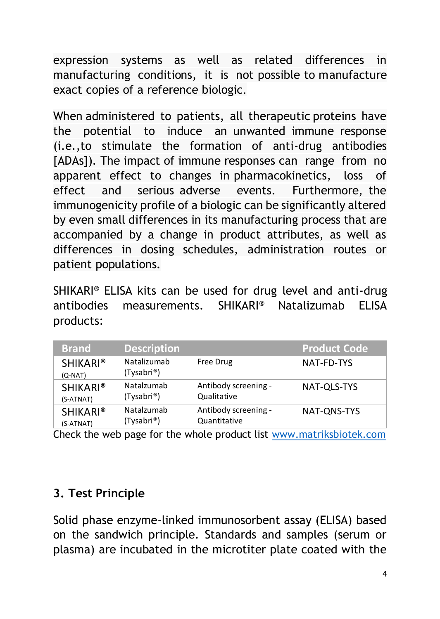expression systems as well as related differences in manufacturing conditions, it is not possible to manufacture exact copies of a reference biologic.

When administered to patients, all therapeutic proteins have the potential to induce an unwanted immune response (i.e.,to stimulate the formation of anti-drug antibodies [ADAs]). The impact of immune responses can range from no apparent effect to changes in pharmacokinetics, loss of effect and serious adverse events. Furthermore, the immunogenicity profile of a biologic can be significantly altered by even small differences in its manufacturing process that are accompanied by a change in product attributes, as well as differences in dosing schedules, administration routes or patient populations.

SHIKARI® ELISA kits can be used for drug level and anti-drug antibodies measurements. SHIKARI® Natalizumab ELISA products:

| <b>Brand</b>                 | <b>Description</b>        |                      | <b>Product Code</b> |
|------------------------------|---------------------------|----------------------|---------------------|
| <b>SHIKARI®</b><br>$(O-NAT)$ | Natalizumab<br>(Tysabri®) | Free Drug            | NAT-FD-TYS          |
| <b>SHIKARI®</b>              | Natalzumab                | Antibody screening - | NAT-OLS-TYS         |
| (S-ATNAT)                    | (Tysabri®)                | Qualitative          |                     |
| <b>SHIKARI®</b>              | Natalzumab                | Antibody screening - | NAT-ONS-TYS         |
| (S-ATNAT)                    | (Tysabri®)                | Quantitative         |                     |

Check the web page for the whole product list [www.matriksbiotek.com](file:///C:/Users/Matrix/Documents/www.matriksbiotek.com)

#### **3. Test Principle**

Solid phase enzyme-linked immunosorbent assay (ELISA) based on the sandwich principle. Standards and samples (serum or plasma) are incubated in the microtiter plate coated with the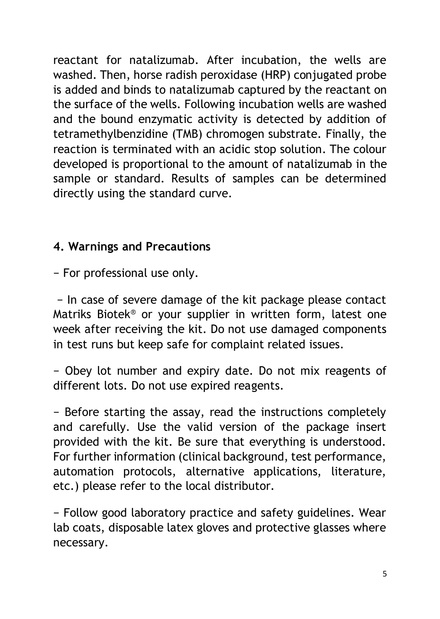reactant for natalizumab. After incubation, the wells are washed. Then, horse radish peroxidase (HRP) conjugated probe is added and binds to natalizumab captured by the reactant on the surface of the wells. Following incubation wells are washed and the bound enzymatic activity is detected by addition of tetramethylbenzidine (TMB) chromogen substrate. Finally, the reaction is terminated with an acidic stop solution. The colour developed is proportional to the amount of natalizumab in the sample or standard. Results of samples can be determined directly using the standard curve.

#### **4. Warnings and Precautions**

− For professional use only.

− In case of severe damage of the kit package please contact Matriks Biotek® or your supplier in written form, latest one week after receiving the kit. Do not use damaged components in test runs but keep safe for complaint related issues.

− Obey lot number and expiry date. Do not mix reagents of different lots. Do not use expired reagents.

− Before starting the assay, read the instructions completely and carefully. Use the valid version of the package insert provided with the kit. Be sure that everything is understood. For further information (clinical background, test performance, automation protocols, alternative applications, literature, etc.) please refer to the local distributor.

− Follow good laboratory practice and safety guidelines. Wear lab coats, disposable latex gloves and protective glasses where necessary.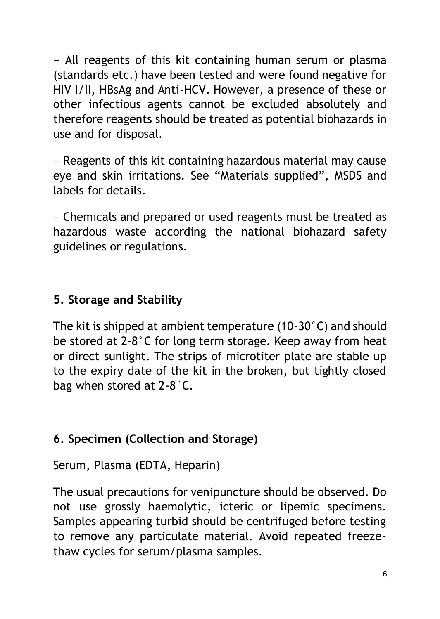− All reagents of this kit containing human serum or plasma (standards etc.) have been tested and were found negative for HIV I/II, HBsAg and Anti-HCV. However, a presence of these or other infectious agents cannot be excluded absolutely and therefore reagents should be treated as potential biohazards in use and for disposal.

− Reagents of this kit containing hazardous material may cause eye and skin irritations. See "Materials supplied", MSDS and labels for details.

− Chemicals and prepared or used reagents must be treated as hazardous waste according the national biohazard safety guidelines or regulations.

#### **5. Storage and Stability**

The kit is shipped at ambient temperature (10-30°C) and should be stored at 2-8°C for long term storage. Keep away from heat or direct sunlight. The strips of microtiter plate are stable up to the expiry date of the kit in the broken, but tightly closed bag when stored at 2-8°C.

#### **6. Specimen (Collection and Storage)**

Serum, Plasma (EDTA, Heparin)

The usual precautions for venipuncture should be observed. Do not use grossly haemolytic, icteric or lipemic specimens. Samples appearing turbid should be centrifuged before testing to remove any particulate material. Avoid repeated freezethaw cycles for serum/plasma samples.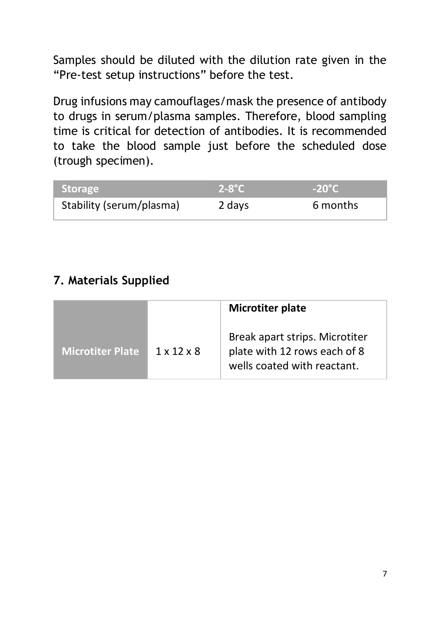Samples should be diluted with the dilution rate given in the "Pre-test setup instructions" before the test.

Drug infusions may camouflages/mask the presence of antibody to drugs in serum/plasma samples. Therefore, blood sampling time is critical for detection of antibodies. It is recommended to take the blood sample just before the scheduled dose (trough specimen).

| Storage                  | $2-8$ °C | $-20^{\circ}$ C |
|--------------------------|----------|-----------------|
| Stability (serum/plasma) | 2 days   | 6 months        |

### **7. Materials Supplied**

|                  |                        | Microtiter plate                                                                              |
|------------------|------------------------|-----------------------------------------------------------------------------------------------|
| Microtiter Plate | $1 \times 12 \times 8$ | Break apart strips. Microtiter<br>plate with 12 rows each of 8<br>wells coated with reactant. |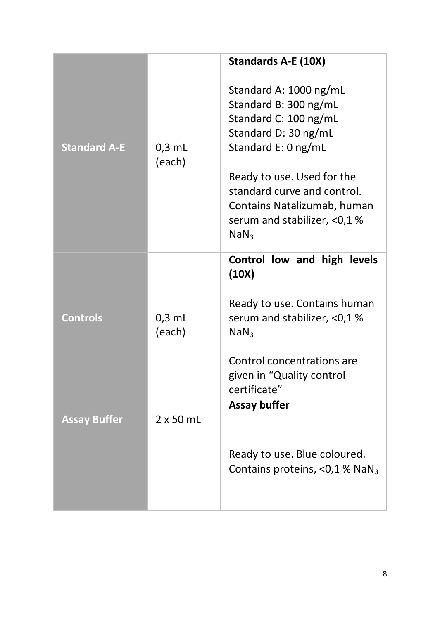|                     |                    | Standards A-E (10X)                                                                                                                                                                                                                                                    |
|---------------------|--------------------|------------------------------------------------------------------------------------------------------------------------------------------------------------------------------------------------------------------------------------------------------------------------|
| <b>Standard A-E</b> | $0.3$ mL<br>(each) | Standard A: 1000 ng/mL<br>Standard B: 300 ng/mL<br>Standard C: 100 ng/mL<br>Standard D: 30 ng/mL<br>Standard E: 0 ng/mL<br>Ready to use. Used for the<br>standard curve and control.<br>Contains Natalizumab, human<br>serum and stabilizer, <0,1%<br>NaN <sub>3</sub> |
| <b>Controls</b>     | $0.3$ mL<br>(each) | Control low and high levels<br>(10X)<br>Ready to use. Contains human<br>serum and stabilizer, <0,1%<br>NaN <sub>3</sub><br>Control concentrations are<br>given in "Quality control<br>certificate"                                                                     |
| <b>Assay Buffer</b> | $2 \times 50$ mL   | Assay buffer<br>Ready to use. Blue coloured.<br>Contains proteins, <0,1 % NaN <sub>3</sub>                                                                                                                                                                             |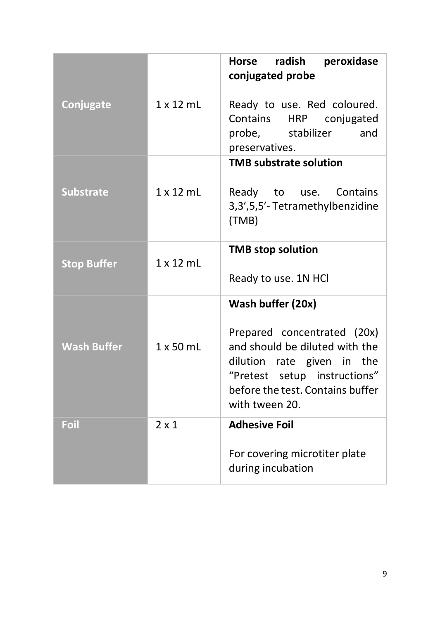|                    |                  | radish<br>Horse<br>peroxidase<br>conjugated probe                                                                                                                                 |
|--------------------|------------------|-----------------------------------------------------------------------------------------------------------------------------------------------------------------------------------|
| Conjugate          | $1 \times 12$ mL | Ready to use. Red coloured.<br>Contains<br>conjugated<br><b>HRP</b><br>probe,<br>stabilizer<br>and<br>preservatives.                                                              |
|                    |                  | <b>TMB substrate solution</b>                                                                                                                                                     |
| <b>Substrate</b>   | $1 \times 12$ ml | Contains<br>Ready<br>to<br>use.<br>3,3',5,5'-Tetramethylbenzidine<br>(TMB)                                                                                                        |
|                    | 1x12mL           | <b>TMB</b> stop solution                                                                                                                                                          |
| <b>Stop Buffer</b> |                  | Ready to use. 1N HCI                                                                                                                                                              |
|                    |                  | Wash buffer (20x)                                                                                                                                                                 |
| <b>Wash Buffer</b> | $1 \times 50$ ml | Prepared concentrated (20x)<br>and should be diluted with the<br>dilution rate given in the<br>"Pretest setup instructions"<br>before the test. Contains buffer<br>with tween 20. |
| Foil               | $2 \times 1$     | <b>Adhesive Foil</b>                                                                                                                                                              |
|                    |                  | For covering microtiter plate<br>during incubation                                                                                                                                |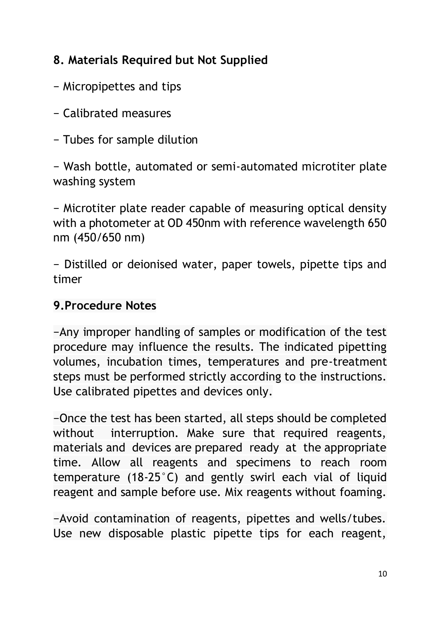#### **8. Materials Required but Not Supplied**

- − Micropipettes and tips
- − Calibrated measures
- − Tubes for sample dilution

− Wash bottle, automated or semi-automated microtiter plate washing system

− Microtiter plate reader capable of measuring optical density with a photometer at OD 450nm with reference wavelength 650 nm (450/650 nm)

− Distilled or deionised water, paper towels, pipette tips and timer

#### **9.Procedure Notes**

−Any improper handling of samples or modification of the test procedure may influence the results. The indicated pipetting volumes, incubation times, temperatures and pre-treatment steps must be performed strictly according to the instructions. Use calibrated pipettes and devices only.

−Once the test has been started, all steps should be completed without interruption. Make sure that required reagents, materials and devices are prepared ready at the appropriate time. Allow all reagents and specimens to reach room temperature (18-25°C) and gently swirl each vial of liquid reagent and sample before use. Mix reagents without foaming.

−Avoid contamination of reagents, pipettes and wells/tubes. Use new disposable plastic pipette tips for each reagent,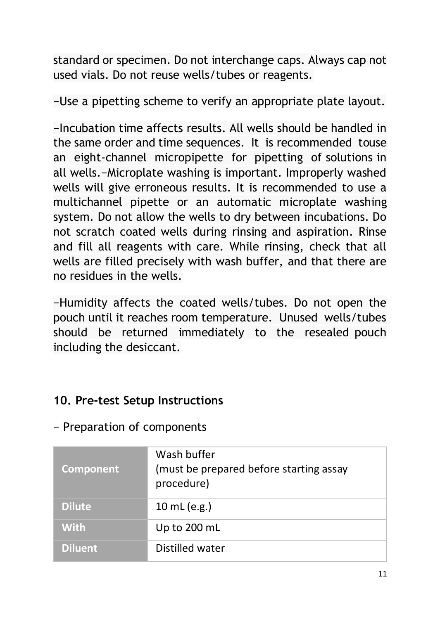standard or specimen. Do not interchange caps. Always cap not used vials. Do not reuse wells/tubes or reagents.

−Use a pipetting scheme to verify an appropriate plate layout.

−Incubation time affects results. All wells should be handled in the same order and time sequences. It is recommended touse an eight-channel micropipette for pipetting of solutions in all wells.−Microplate washing is important. Improperly washed wells will give erroneous results. It is recommended to use a multichannel pipette or an automatic microplate washing system. Do not allow the wells to dry between incubations. Do not scratch coated wells during rinsing and aspiration. Rinse and fill all reagents with care. While rinsing, check that all wells are filled precisely with wash buffer, and that there are no residues in the wells.

−Humidity affects the coated wells/tubes. Do not open the pouch until it reaches room temperature. Unused wells/tubes should be returned immediately to the resealed pouch including the desiccant.

#### **10. Pre-test Setup Instructions**

|  |  |  |  | Preparation of components |
|--|--|--|--|---------------------------|
|--|--|--|--|---------------------------|

| Component      | Wash buffer<br>(must be prepared before starting assay<br>procedure) |
|----------------|----------------------------------------------------------------------|
| <b>Dilute</b>  | 10 mL (e.g.)                                                         |
| <b>With</b>    | Up to 200 mL                                                         |
| <b>Diluent</b> | Distilled water                                                      |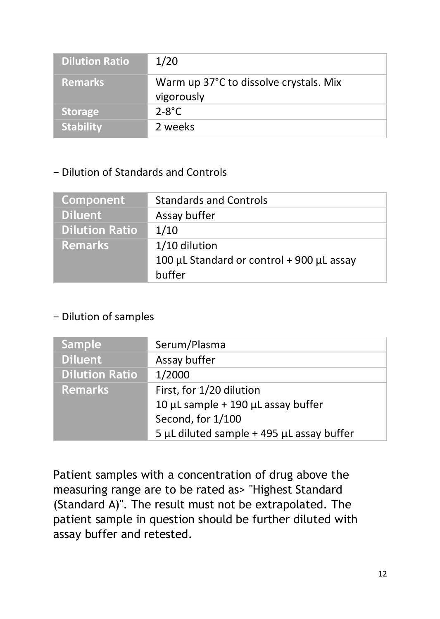| <b>Dilution Ratio</b> | 1/20                                                 |
|-----------------------|------------------------------------------------------|
| <b>Remarks</b>        | Warm up 37°C to dissolve crystals. Mix<br>vigorously |
| <b>Storage</b>        | $2 - 8^\circ C$                                      |
| <b>Stability</b>      | 2 weeks                                              |

#### − Dilution of Standards and Controls

| Component             | <b>Standards and Controls</b>             |
|-----------------------|-------------------------------------------|
| <b>Diluent</b>        | Assay buffer                              |
| <b>Dilution Ratio</b> | 1/10                                      |
| <b>Remarks</b>        | 1/10 dilution                             |
|                       | 100 µL Standard or control + 900 µL assay |
|                       | buffer                                    |

#### − Dilution of samples

| <b>Sample</b>         | Serum/Plasma                              |
|-----------------------|-------------------------------------------|
| Diluent <sup>1</sup>  | Assay buffer                              |
| <b>Dilution Ratio</b> | 1/2000                                    |
| Remarks               | First, for 1/20 dilution                  |
|                       | 10 µL sample + 190 µL assay buffer        |
|                       | Second, for 1/100                         |
|                       | 5 µL diluted sample + 495 µL assay buffer |

Patient samples with a concentration of drug above the measuring range are to be rated as> "Highest Standard (Standard A)". The result must not be extrapolated. The patient sample in question should be further diluted with assay buffer and retested.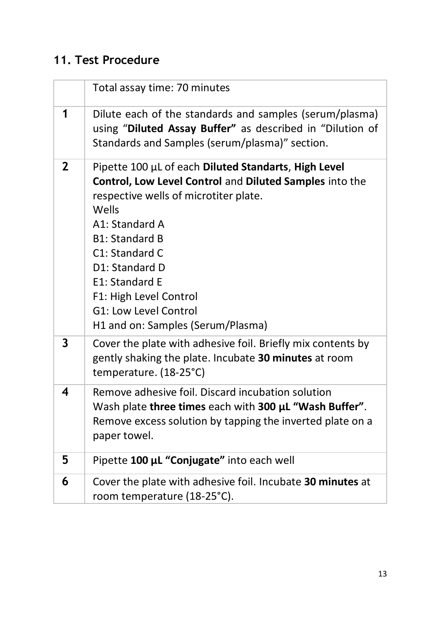# **11. Test Procedure**

|   | Total assay time: 70 minutes                                                                                                                                                                                                                                                                                                                               |
|---|------------------------------------------------------------------------------------------------------------------------------------------------------------------------------------------------------------------------------------------------------------------------------------------------------------------------------------------------------------|
| 1 | Dilute each of the standards and samples (serum/plasma)<br>using "Diluted Assay Buffer" as described in "Dilution of<br>Standards and Samples (serum/plasma)" section.                                                                                                                                                                                     |
| 2 | Pipette 100 µL of each Diluted Standarts, High Level<br>Control, Low Level Control and Diluted Samples into the<br>respective wells of microtiter plate.<br>Wells<br>A1: Standard A<br><b>B1: Standard B</b><br>C1: Standard C<br>D1: Standard D<br>E1: Standard E<br>F1: High Level Control<br>G1: Low Level Control<br>H1 and on: Samples (Serum/Plasma) |
| 3 | Cover the plate with adhesive foil. Briefly mix contents by<br>gently shaking the plate. Incubate 30 minutes at room<br>temperature. (18-25°C)                                                                                                                                                                                                             |
| 4 | Remove adhesive foil. Discard incubation solution<br>Wash plate three times each with 300 µL "Wash Buffer".<br>Remove excess solution by tapping the inverted plate on a<br>paper towel.                                                                                                                                                                   |
| 5 | Pipette 100 µL "Conjugate" into each well                                                                                                                                                                                                                                                                                                                  |
| 6 | Cover the plate with adhesive foil. Incubate 30 minutes at<br>room temperature (18-25°C).                                                                                                                                                                                                                                                                  |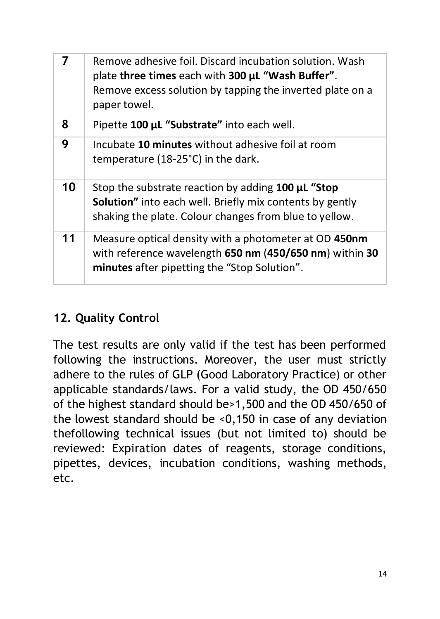| 7  | Remove adhesive foil. Discard incubation solution. Wash<br>plate three times each with 300 µL "Wash Buffer".<br>Remove excess solution by tapping the inverted plate on a<br>paper towel. |
|----|-------------------------------------------------------------------------------------------------------------------------------------------------------------------------------------------|
| 8  | Pipette 100 µL "Substrate" into each well.                                                                                                                                                |
| 9  | Incubate 10 minutes without adhesive foil at room<br>temperature (18-25°C) in the dark.                                                                                                   |
| 10 | Stop the substrate reaction by adding 100 µL "Stop<br><b>Solution"</b> into each well. Briefly mix contents by gently<br>shaking the plate. Colour changes from blue to yellow.           |
| 11 | Measure optical density with a photometer at OD 450nm<br>with reference wavelength 650 nm (450/650 nm) within 30<br>minutes after pipetting the "Stop Solution".                          |

#### **12. Quality Control**

The test results are only valid if the test has been performed following the instructions. Moreover, the user must strictly adhere to the rules of GLP (Good Laboratory Practice) or other applicable standards/laws. For a valid study, the OD 450/650 of the highest standard should be>1,500 and the OD 450/650 of the lowest standard should be <0,150 in case of any deviation thefollowing technical issues (but not limited to) should be reviewed: Expiration dates of reagents, storage conditions, pipettes, devices, incubation conditions, washing methods, etc.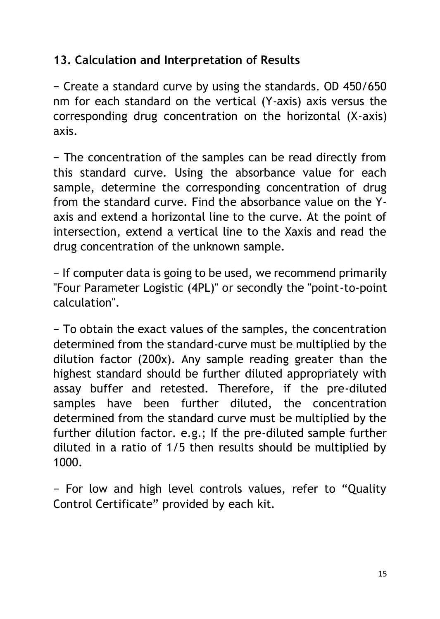#### **13. Calculation and Interpretation of Results**

− Create a standard curve by using the standards. OD 450/650 nm for each standard on the vertical (Y-axis) axis versus the corresponding drug concentration on the horizontal (X-axis) axis.

− The concentration of the samples can be read directly from this standard curve. Using the absorbance value for each sample, determine the corresponding concentration of drug from the standard curve. Find the absorbance value on the Yaxis and extend a horizontal line to the curve. At the point of intersection, extend a vertical line to the Xaxis and read the drug concentration of the unknown sample.

− If computer data is going to be used, we recommend primarily "Four Parameter Logistic (4PL)" or secondly the "point-to-point calculation".

− To obtain the exact values of the samples, the concentration determined from the standard-curve must be multiplied by the dilution factor (200x). Any sample reading greater than the highest standard should be further diluted appropriately with assay buffer and retested. Therefore, if the pre-diluted samples have been further diluted, the concentration determined from the standard curve must be multiplied by the further dilution factor. e.g.; If the pre-diluted sample further diluted in a ratio of 1/5 then results should be multiplied by 1000.

− For low and high level controls values, refer to "Quality Control Certificate" provided by each kit.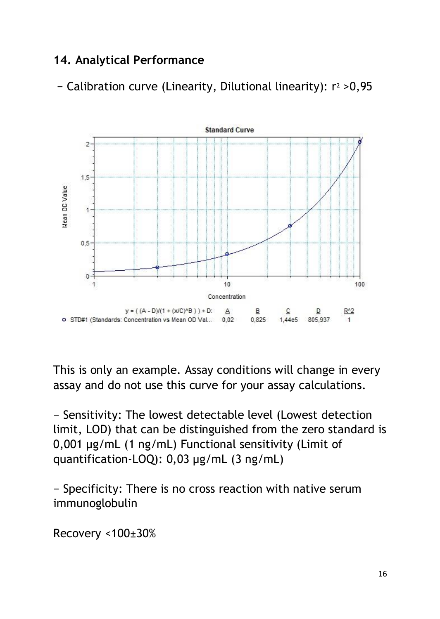#### **14. Analytical Performance**

− Calibration curve (Linearity, Dilutional linearity): r<sup>2</sup> >0,95



This is only an example. Assay conditions will change in every assay and do not use this curve for your assay calculations.

− Sensitivity: The lowest detectable level (Lowest detection limit, LOD) that can be distinguished from the zero standard is 0,001 µg/mL (1 ng/mL) Functional sensitivity (Limit of quantification-LOQ): 0,03 µg/mL (3 ng/mL)

− Specificity: There is no cross reaction with native serum immunoglobulin

Recovery <100±30%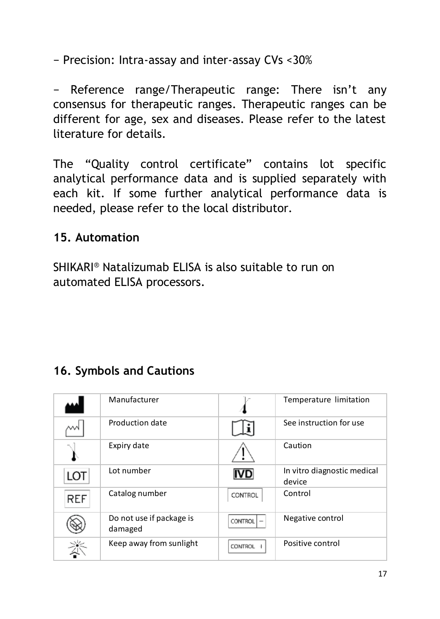− Precision: Intra-assay and inter-assay CVs <30%

− Reference range/Therapeutic range: There isn't any consensus for therapeutic ranges. Therapeutic ranges can be different for age, sex and diseases. Please refer to the latest literature for details.

The "Quality control certificate" contains lot specific analytical performance data and is supplied separately with each kit. If some further analytical performance data is needed, please refer to the local distributor.

#### **15. Automation**

SHIKARI® Natalizumab ELISA is also suitable to run on automated ELISA processors.

#### **16. Symbols and Cautions**

|            | Manufacturer                        |                | Temperature limitation                |
|------------|-------------------------------------|----------------|---------------------------------------|
|            | Production date                     |                | See instruction for use               |
|            | Expiry date                         |                | Caution                               |
| LOT        | Lot number                          | <b>IVD</b>     | In vitro diagnostic medical<br>device |
| <b>REF</b> | Catalog number                      | CONTROL        | Control                               |
|            | Do not use if package is<br>damaged | <b>CONTROL</b> | Negative control                      |
|            | Keep away from sunlight             | <b>CONTROL</b> | Positive control                      |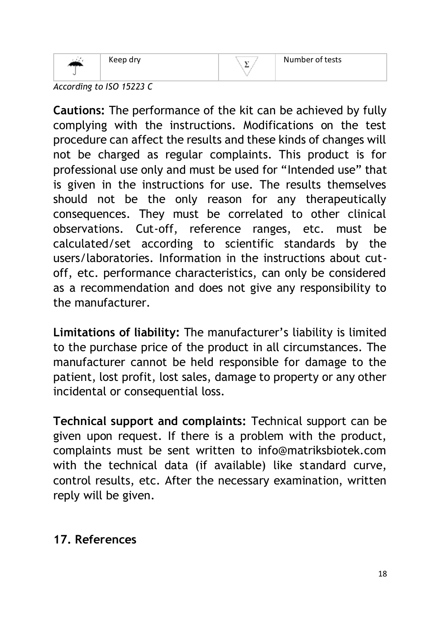

Keep dry

# $\Sigma$

*According to ISO 15223 C*

**Cautions:** The performance of the kit can be achieved by fully complying with the instructions. Modifications on the test procedure can affect the results and these kinds of changes will not be charged as regular complaints. This product is for professional use only and must be used for "Intended use" that is given in the instructions for use. The results themselves should not be the only reason for any therapeutically consequences. They must be correlated to other clinical observations. Cut-off, reference ranges, etc. must be calculated/set according to scientific standards by the users/laboratories. Information in the instructions about cutoff, etc. performance characteristics, can only be considered as a recommendation and does not give any responsibility to the manufacturer.

**Limitations of liability:** The manufacturer's liability is limited to the purchase price of the product in all circumstances. The manufacturer cannot be held responsible for damage to the patient, lost profit, lost sales, damage to property or any other incidental or consequential loss.

**Technical support and complaints:** Technical support can be given upon request. If there is a problem with the product, complaints must be sent written to info@matriksbiotek.com with the technical data (if available) like standard curve, control results, etc. After the necessary examination, written reply will be given.

#### **17. References**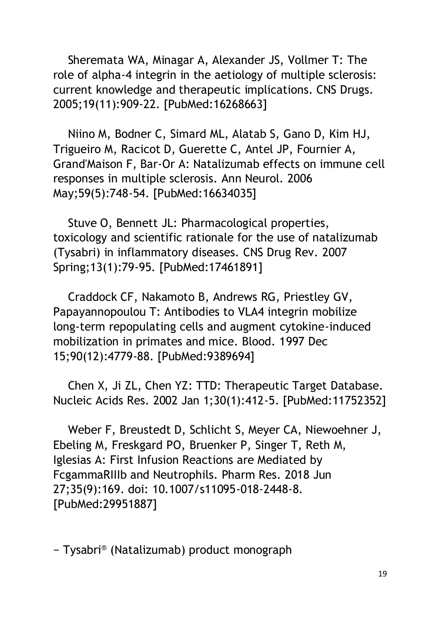Sheremata WA, Minagar A, Alexander JS, Vollmer T: The role of alpha-4 integrin in the aetiology of multiple sclerosis: current knowledge and therapeutic implications. CNS Drugs. 2005;19(11):909-22. [PubMed:16268663]

 Niino M, Bodner C, Simard ML, Alatab S, Gano D, Kim HJ, Trigueiro M, Racicot D, Guerette C, Antel JP, Fournier A, Grand'Maison F, Bar-Or A: Natalizumab effects on immune cell responses in multiple sclerosis. Ann Neurol. 2006 May;59(5):748-54. [PubMed:16634035]

 Stuve O, Bennett JL: Pharmacological properties, toxicology and scientific rationale for the use of natalizumab (Tysabri) in inflammatory diseases. CNS Drug Rev. 2007 Spring;13(1):79-95. [PubMed:17461891]

 Craddock CF, Nakamoto B, Andrews RG, Priestley GV, Papayannopoulou T: Antibodies to VLA4 integrin mobilize long-term repopulating cells and augment cytokine-induced mobilization in primates and mice. Blood. 1997 Dec 15;90(12):4779-88. [PubMed:9389694]

 Chen X, Ji ZL, Chen YZ: TTD: Therapeutic Target Database. Nucleic Acids Res. 2002 Jan 1;30(1):412-5. [PubMed:11752352]

 Weber F, Breustedt D, Schlicht S, Meyer CA, Niewoehner J, Ebeling M, Freskgard PO, Bruenker P, Singer T, Reth M, Iglesias A: First Infusion Reactions are Mediated by FcgammaRIIIb and Neutrophils. Pharm Res. 2018 Jun 27;35(9):169. doi: 10.1007/s11095-018-2448-8. [PubMed:29951887]

− Tysabri® (Natalizumab) product monograph